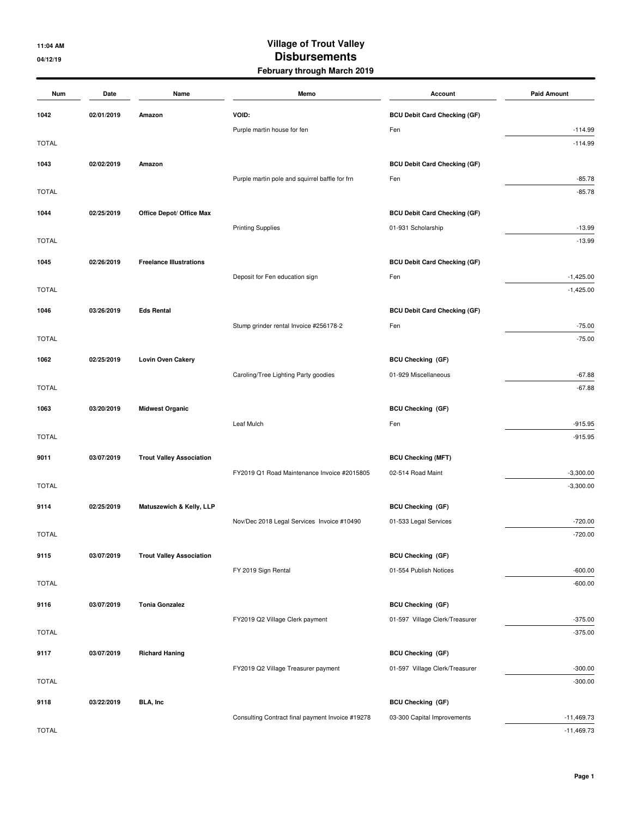## **11:04 AM Village of Trout Valley 04/12/19 Disbursements February through March 2019**

| Num          | Date       | Name                            | Memo                                             | Account                             | <b>Paid Amount</b> |
|--------------|------------|---------------------------------|--------------------------------------------------|-------------------------------------|--------------------|
| 1042         | 02/01/2019 | Amazon                          | VOID:                                            | <b>BCU Debit Card Checking (GF)</b> |                    |
|              |            |                                 | Purple martin house for fen                      | Fen                                 | $-114.99$          |
| <b>TOTAL</b> |            |                                 |                                                  |                                     | $-114.99$          |
| 1043         | 02/02/2019 | Amazon                          |                                                  | <b>BCU Debit Card Checking (GF)</b> |                    |
|              |            |                                 | Purple martin pole and squirrel baffle for frn   | Fen                                 | $-85.78$           |
| <b>TOTAL</b> |            |                                 |                                                  |                                     | $-85.78$           |
| 1044         | 02/25/2019 | Office Depot/ Office Max        |                                                  | <b>BCU Debit Card Checking (GF)</b> |                    |
|              |            |                                 | <b>Printing Supplies</b>                         | 01-931 Scholarship                  | $-13.99$           |
| <b>TOTAL</b> |            |                                 |                                                  |                                     | $-13.99$           |
| 1045         | 02/26/2019 | <b>Freelance Illustrations</b>  |                                                  | <b>BCU Debit Card Checking (GF)</b> |                    |
|              |            |                                 | Deposit for Fen education sign                   | Fen                                 | $-1,425.00$        |
| <b>TOTAL</b> |            |                                 |                                                  |                                     | $-1,425.00$        |
| 1046         | 03/26/2019 | <b>Eds Rental</b>               |                                                  | <b>BCU Debit Card Checking (GF)</b> |                    |
|              |            |                                 | Stump grinder rental Invoice #256178-2           | Fen                                 | $-75.00$           |
| <b>TOTAL</b> |            |                                 |                                                  |                                     | $-75.00$           |
| 1062         | 02/25/2019 | <b>Lovin Oven Cakery</b>        |                                                  | <b>BCU Checking (GF)</b>            |                    |
|              |            |                                 | Caroling/Tree Lighting Party goodies             | 01-929 Miscellaneous                | $-67.88$           |
| <b>TOTAL</b> |            |                                 |                                                  |                                     | $-67.88$           |
| 1063         | 03/20/2019 | <b>Midwest Organic</b>          |                                                  | <b>BCU Checking (GF)</b>            |                    |
|              |            |                                 | Leaf Mulch                                       | Fen                                 | $-915.95$          |
| <b>TOTAL</b> |            |                                 |                                                  |                                     | $-915.95$          |
| 9011         | 03/07/2019 | <b>Trout Valley Association</b> |                                                  | <b>BCU Checking (MFT)</b>           |                    |
|              |            |                                 | FY2019 Q1 Road Maintenance Invoice #2015805      | 02-514 Road Maint                   | $-3,300.00$        |
| <b>TOTAL</b> |            |                                 |                                                  |                                     | $-3,300.00$        |
| 9114         | 02/25/2019 | Matuszewich & Kelly, LLP        |                                                  | <b>BCU Checking (GF)</b>            |                    |
|              |            |                                 | Nov/Dec 2018 Legal Services Invoice #10490       | 01-533 Legal Services               | $-720.00$          |
| <b>TOTAL</b> |            |                                 |                                                  |                                     | $-720.00$          |
| 9115         | 03/07/2019 | <b>Trout Valley Association</b> |                                                  | <b>BCU Checking (GF)</b>            |                    |
|              |            |                                 | FY 2019 Sign Rental                              | 01-554 Publish Notices              | $-600.00$          |
| <b>TOTAL</b> |            |                                 |                                                  |                                     | $-600.00$          |
| 9116         | 03/07/2019 | <b>Tonia Gonzalez</b>           |                                                  | <b>BCU Checking (GF)</b>            |                    |
|              |            |                                 | FY2019 Q2 Village Clerk payment                  | 01-597 Village Clerk/Treasurer      | $-375.00$          |
| <b>TOTAL</b> |            |                                 |                                                  |                                     | $-375.00$          |
| 9117         | 03/07/2019 | <b>Richard Haning</b>           |                                                  | <b>BCU Checking (GF)</b>            |                    |
|              |            |                                 | FY2019 Q2 Village Treasurer payment              | 01-597 Village Clerk/Treasurer      | $-300.00$          |
| <b>TOTAL</b> |            |                                 |                                                  |                                     | $-300.00$          |
| 9118         | 03/22/2019 | <b>BLA, Inc</b>                 |                                                  | <b>BCU Checking (GF)</b>            |                    |
|              |            |                                 | Consulting Contract final payment Invoice #19278 | 03-300 Capital Improvements         | $-11,469.73$       |
| <b>TOTAL</b> |            |                                 |                                                  |                                     | $-11,469.73$       |